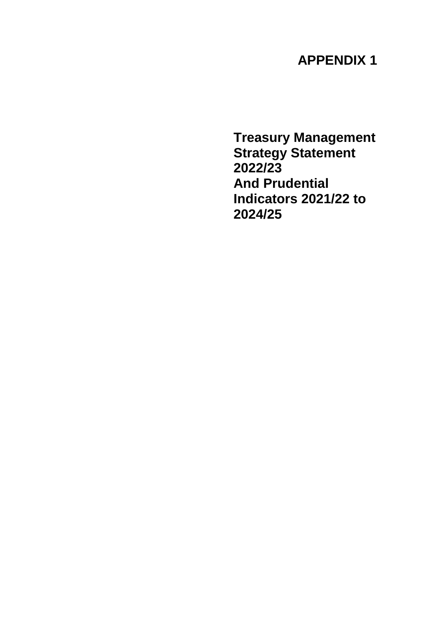# **APPENDIX 1**

**Treasury Management Strategy Statement 2022/23 And Prudential Indicators 2021/22 to 2024/25**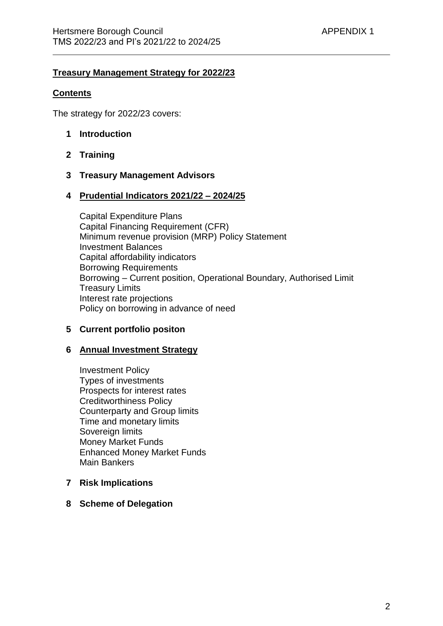#### **Treasury Management Strategy for 2022/23**

#### **Contents**

The strategy for 2022/23 covers:

- **1 Introduction**
- **2 Training**
- **3 Treasury Management Advisors**

#### **4 Prudential Indicators 2021/22 – 2024/25**

Capital Expenditure Plans Capital Financing Requirement (CFR) Minimum revenue provision (MRP) Policy Statement Investment Balances Capital affordability indicators Borrowing Requirements Borrowing – Current position, Operational Boundary, Authorised Limit Treasury Limits Interest rate projections Policy on borrowing in advance of need

#### **5 Current portfolio positon**

#### **6 Annual Investment Strategy**

Investment Policy Types of investments Prospects for interest rates Creditworthiness Policy Counterparty and Group limits Time and monetary limits Sovereign limits Money Market Funds Enhanced Money Market Funds Main Bankers

#### **7 Risk Implications**

**8 Scheme of Delegation**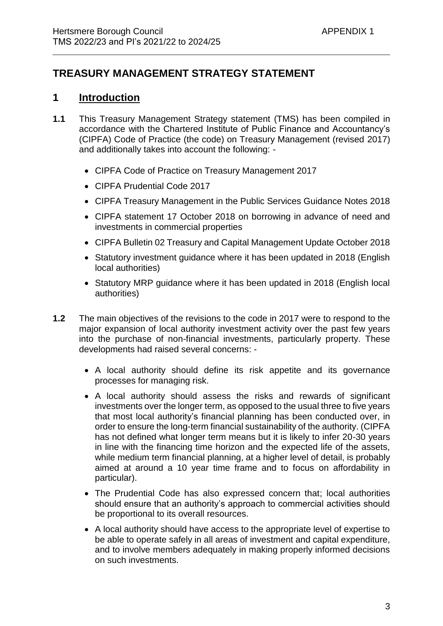# **TREASURY MANAGEMENT STRATEGY STATEMENT**

# **1 Introduction**

- **1.1** This Treasury Management Strategy statement (TMS) has been compiled in accordance with the Chartered Institute of Public Finance and Accountancy's (CIPFA) Code of Practice (the code) on Treasury Management (revised 2017) and additionally takes into account the following: -
	- CIPFA Code of Practice on Treasury Management 2017
	- CIPFA Prudential Code 2017
	- CIPFA Treasury Management in the Public Services Guidance Notes 2018
	- CIPFA statement 17 October 2018 on borrowing in advance of need and investments in commercial properties
	- CIPFA Bulletin 02 Treasury and Capital Management Update October 2018
	- Statutory investment guidance where it has been updated in 2018 (English local authorities)
	- Statutory MRP guidance where it has been updated in 2018 (English local authorities)
- **1.2** The main objectives of the revisions to the code in 2017 were to respond to the major expansion of local authority investment activity over the past few years into the purchase of non-financial investments, particularly property. These developments had raised several concerns: -
	- A local authority should define its risk appetite and its governance processes for managing risk.
	- A local authority should assess the risks and rewards of significant investments over the longer term, as opposed to the usual three to five years that most local authority's financial planning has been conducted over, in order to ensure the long-term financial sustainability of the authority. (CIPFA has not defined what longer term means but it is likely to infer 20-30 years in line with the financing time horizon and the expected life of the assets, while medium term financial planning, at a higher level of detail, is probably aimed at around a 10 year time frame and to focus on affordability in particular).
	- The Prudential Code has also expressed concern that; local authorities should ensure that an authority's approach to commercial activities should be proportional to its overall resources.
	- A local authority should have access to the appropriate level of expertise to be able to operate safely in all areas of investment and capital expenditure, and to involve members adequately in making properly informed decisions on such investments.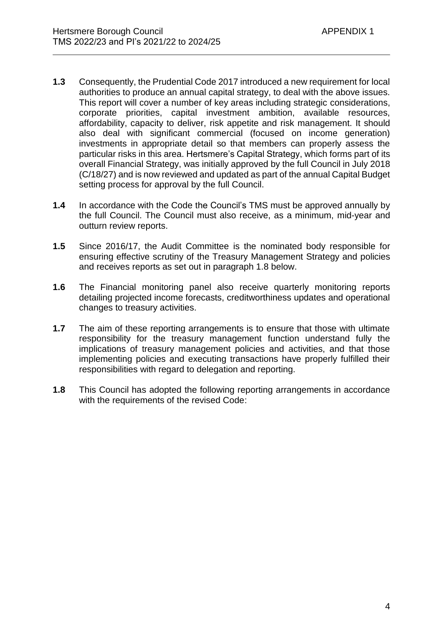- **1.3** Consequently, the Prudential Code 2017 introduced a new requirement for local authorities to produce an annual capital strategy, to deal with the above issues. This report will cover a number of key areas including strategic considerations, corporate priorities, capital investment ambition, available resources, affordability, capacity to deliver, risk appetite and risk management. It should also deal with significant commercial (focused on income generation) investments in appropriate detail so that members can properly assess the particular risks in this area. Hertsmere's Capital Strategy, which forms part of its overall Financial Strategy, was initially approved by the full Council in July 2018 (C/18/27) and is now reviewed and updated as part of the annual Capital Budget setting process for approval by the full Council.
- **1.4** In accordance with the Code the Council's TMS must be approved annually by the full Council. The Council must also receive, as a minimum, mid-year and outturn review reports.
- **1.5** Since 2016/17, the Audit Committee is the nominated body responsible for ensuring effective scrutiny of the Treasury Management Strategy and policies and receives reports as set out in paragraph 1.8 below.
- **1.6** The Financial monitoring panel also receive quarterly monitoring reports detailing projected income forecasts, creditworthiness updates and operational changes to treasury activities.
- **1.7** The aim of these reporting arrangements is to ensure that those with ultimate responsibility for the treasury management function understand fully the implications of treasury management policies and activities, and that those implementing policies and executing transactions have properly fulfilled their responsibilities with regard to delegation and reporting.
- **1.8** This Council has adopted the following reporting arrangements in accordance with the requirements of the revised Code: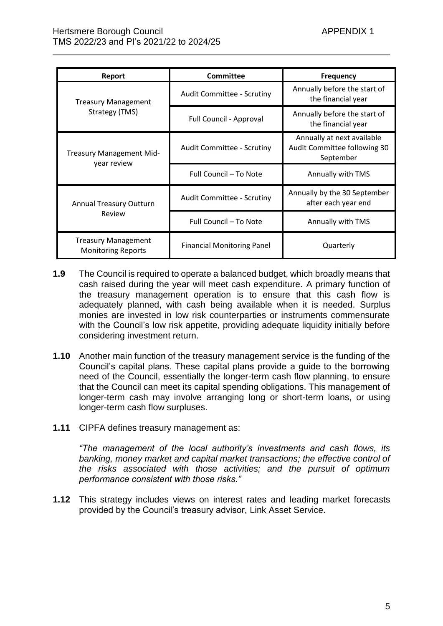| Report                                                  | Committee                         | <b>Frequency</b>                                                        |  |
|---------------------------------------------------------|-----------------------------------|-------------------------------------------------------------------------|--|
| <b>Treasury Management</b>                              | <b>Audit Committee - Scrutiny</b> | Annually before the start of<br>the financial year                      |  |
| Strategy (TMS)                                          | Full Council - Approval           | Annually before the start of<br>the financial year                      |  |
| <b>Treasury Management Mid-</b><br>year review          | <b>Audit Committee - Scrutiny</b> | Annually at next available<br>Audit Committee following 30<br>September |  |
|                                                         | Full Council - To Note            | Annually with TMS                                                       |  |
| <b>Annual Treasury Outturn</b>                          | <b>Audit Committee - Scrutiny</b> | Annually by the 30 September<br>after each year end                     |  |
| Review                                                  | Full Council - To Note            | Annually with TMS                                                       |  |
| <b>Treasury Management</b><br><b>Monitoring Reports</b> | <b>Financial Monitoring Panel</b> | Quarterly                                                               |  |

- **1.9** The Council is required to operate a balanced budget, which broadly means that cash raised during the year will meet cash expenditure. A primary function of the treasury management operation is to ensure that this cash flow is adequately planned, with cash being available when it is needed. Surplus monies are invested in low risk counterparties or instruments commensurate with the Council's low risk appetite, providing adequate liquidity initially before considering investment return.
- **1.10** Another main function of the treasury management service is the funding of the Council's capital plans. These capital plans provide a guide to the borrowing need of the Council, essentially the longer-term cash flow planning, to ensure that the Council can meet its capital spending obligations. This management of longer-term cash may involve arranging long or short-term loans, or using longer-term cash flow surpluses.
- **1.11** CIPFA defines treasury management as:

*"The management of the local authority's investments and cash flows, its banking, money market and capital market transactions; the effective control of the risks associated with those activities; and the pursuit of optimum performance consistent with those risks."*

**1.12** This strategy includes views on interest rates and leading market forecasts provided by the Council's treasury advisor, Link Asset Service.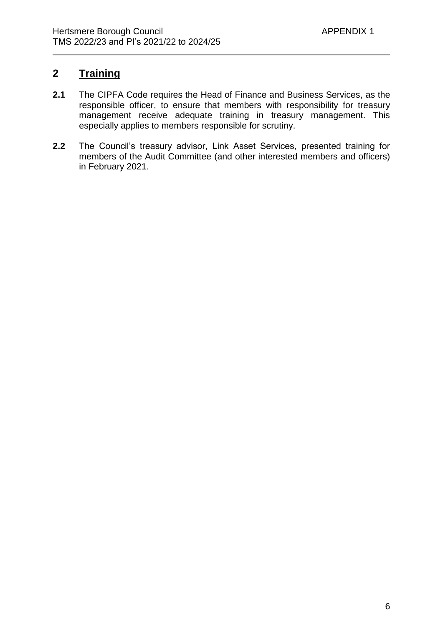# **2 Training**

- **2.1** The CIPFA Code requires the Head of Finance and Business Services, as the responsible officer, to ensure that members with responsibility for treasury management receive adequate training in treasury management. This especially applies to members responsible for scrutiny.
- **2.2** The Council's treasury advisor, Link Asset Services, presented training for members of the Audit Committee (and other interested members and officers) in February 2021.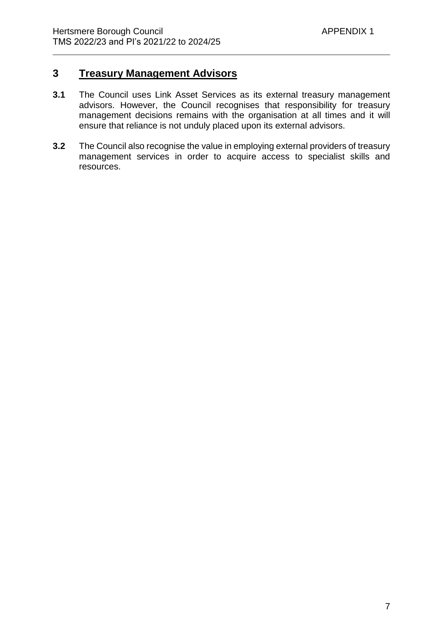### **3 Treasury Management Advisors**

- **3.1** The Council uses Link Asset Services as its external treasury management advisors. However, the Council recognises that responsibility for treasury management decisions remains with the organisation at all times and it will ensure that reliance is not unduly placed upon its external advisors.
- **3.2** The Council also recognise the value in employing external providers of treasury management services in order to acquire access to specialist skills and resources.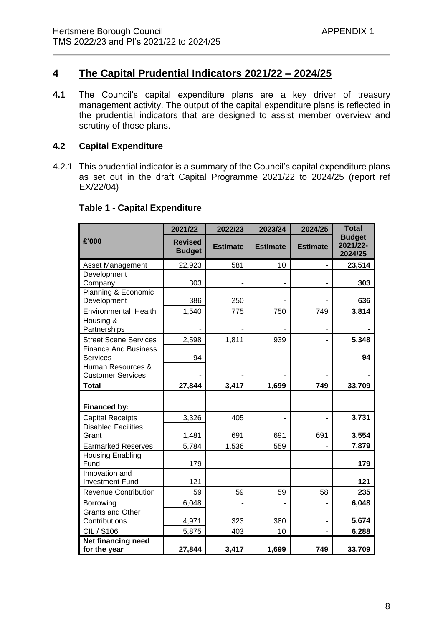# **4 The Capital Prudential Indicators 2021/22 – 2024/25**

**4.1** The Council's capital expenditure plans are a key driver of treasury management activity. The output of the capital expenditure plans is reflected in the prudential indicators that are designed to assist member overview and scrutiny of those plans.

#### **4.2 Capital Expenditure**

4.2.1 This prudential indicator is a summary of the Council's capital expenditure plans as set out in the draft Capital Programme 2021/22 to 2024/25 (report ref EX/22/04)

|                                                | 2021/22                         | 2022/23         | 2023/24         | 2024/25         | <b>Total</b>                         |
|------------------------------------------------|---------------------------------|-----------------|-----------------|-----------------|--------------------------------------|
| £'000                                          | <b>Revised</b><br><b>Budget</b> | <b>Estimate</b> | <b>Estimate</b> | <b>Estimate</b> | <b>Budget</b><br>2021/22-<br>2024/25 |
| Asset Management                               | 22,923                          | 581             | 10              | ٠               | 23,514                               |
| Development                                    |                                 |                 |                 |                 |                                      |
| Company                                        | 303                             |                 |                 |                 | 303                                  |
| Planning & Economic<br>Development             | 386                             | 250             |                 |                 | 636                                  |
| Environmental Health                           | 1,540                           | 775             | 750             | 749             | 3,814                                |
| Housing &<br>Partnerships                      |                                 |                 |                 |                 |                                      |
| <b>Street Scene Services</b>                   | 2,598                           | 1,811           | 939             | -               | 5,348                                |
| <b>Finance And Business</b><br><b>Services</b> | 94                              |                 |                 |                 | 94                                   |
| Human Resources &<br><b>Customer Services</b>  |                                 |                 |                 |                 |                                      |
| <b>Total</b>                                   | 27,844                          | 3,417           | 1,699           | 749             | 33,709                               |
|                                                |                                 |                 |                 |                 |                                      |
| Financed by:                                   |                                 |                 |                 |                 |                                      |
| <b>Capital Receipts</b>                        | 3,326                           | 405             |                 |                 | 3,731                                |
| <b>Disabled Facilities</b>                     |                                 |                 |                 |                 |                                      |
| Grant                                          | 1,481                           | 691             | 691             | 691             | 3,554                                |
| <b>Earmarked Reserves</b>                      | 5,784                           | 1,536           | 559             |                 | 7,879                                |
| <b>Housing Enabling</b><br>Fund                | 179                             |                 |                 |                 | 179                                  |
| Innovation and<br><b>Investment Fund</b>       | 121                             |                 |                 |                 | 121                                  |
| <b>Revenue Contribution</b>                    | 59                              | 59              | 59              | 58              | 235                                  |
| Borrowing                                      | 6,048                           |                 |                 |                 | 6,048                                |
| <b>Grants and Other</b>                        |                                 |                 |                 |                 |                                      |
| Contributions                                  | 4,971                           | 323             | 380             |                 | 5,674                                |
| CIL / S106                                     | 5,875                           | 403             | 10              |                 | 6,288                                |
| Net financing need                             |                                 |                 |                 |                 |                                      |
| for the year                                   | 27,844                          | 3,417           | 1,699           | 749             | 33,709                               |

#### **Table 1 - Capital Expenditure**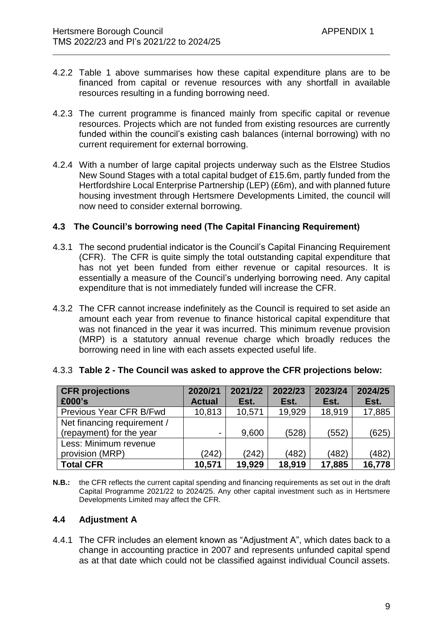- 4.2.2 Table 1 above summarises how these capital expenditure plans are to be financed from capital or revenue resources with any shortfall in available resources resulting in a funding borrowing need.
- 4.2.3 The current programme is financed mainly from specific capital or revenue resources. Projects which are not funded from existing resources are currently funded within the council's existing cash balances (internal borrowing) with no current requirement for external borrowing.
- 4.2.4 With a number of large capital projects underway such as the Elstree Studios New Sound Stages with a total capital budget of £15.6m, partly funded from the Hertfordshire Local Enterprise Partnership (LEP) (£6m), and with planned future housing investment through Hertsmere Developments Limited, the council will now need to consider external borrowing.

#### **4.3 The Council's borrowing need (The Capital Financing Requirement)**

- 4.3.1 The second prudential indicator is the Council's Capital Financing Requirement (CFR). The CFR is quite simply the total outstanding capital expenditure that has not yet been funded from either revenue or capital resources. It is essentially a measure of the Council's underlying borrowing need. Any capital expenditure that is not immediately funded will increase the CFR.
- 4.3.2 The CFR cannot increase indefinitely as the Council is required to set aside an amount each year from revenue to finance historical capital expenditure that was not financed in the year it was incurred. This minimum revenue provision (MRP) is a statutory annual revenue charge which broadly reduces the borrowing need in line with each assets expected useful life.

| <b>CFR</b> projections      | 2020/21       | 2021/22 | 2022/23 | 2023/24 | 2024/25 |
|-----------------------------|---------------|---------|---------|---------|---------|
| £000's                      | <b>Actual</b> | Est.    | Est.    | Est.    | Est.    |
| Previous Year CFR B/Fwd     | 10,813        | 10,571  | 19,929  | 18,919  | 17,885  |
| Net financing requirement / |               |         |         |         |         |
| (repayment) for the year    | -             | 9,600   | (528)   | (552)   | (625)   |
| Less: Minimum revenue       |               |         |         |         |         |
| provision (MRP)             | (242)         | (242)   | (482)   | (482)   | (482)   |
| <b>Total CFR</b>            | 10,571        | 19,929  | 18,919  | 17,885  | 16,778  |

4.3.3 **Table 2 - The Council was asked to approve the CFR projections below:**

**N.B.:** the CFR reflects the current capital spending and financing requirements as set out in the draft Capital Programme 2021/22 to 2024/25. Any other capital investment such as in Hertsmere Developments Limited may affect the CFR.

#### **4.4 Adjustment A**

4.4.1 The CFR includes an element known as "Adjustment A", which dates back to a change in accounting practice in 2007 and represents unfunded capital spend as at that date which could not be classified against individual Council assets.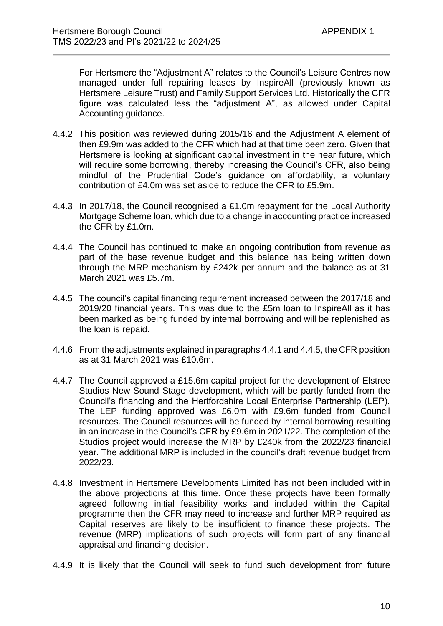For Hertsmere the "Adjustment A" relates to the Council's Leisure Centres now managed under full repairing leases by InspireAll (previously known as Hertsmere Leisure Trust) and Family Support Services Ltd. Historically the CFR figure was calculated less the "adjustment A", as allowed under Capital Accounting guidance.

- 4.4.2 This position was reviewed during 2015/16 and the Adjustment A element of then £9.9m was added to the CFR which had at that time been zero. Given that Hertsmere is looking at significant capital investment in the near future, which will require some borrowing, thereby increasing the Council's CFR, also being mindful of the Prudential Code's guidance on affordability, a voluntary contribution of £4.0m was set aside to reduce the CFR to £5.9m.
- 4.4.3 In 2017/18, the Council recognised a £1.0m repayment for the Local Authority Mortgage Scheme loan, which due to a change in accounting practice increased the CFR by £1.0m.
- 4.4.4 The Council has continued to make an ongoing contribution from revenue as part of the base revenue budget and this balance has being written down through the MRP mechanism by £242k per annum and the balance as at 31 March 2021 was £5.7m.
- 4.4.5 The council's capital financing requirement increased between the 2017/18 and 2019/20 financial years. This was due to the £5m loan to InspireAll as it has been marked as being funded by internal borrowing and will be replenished as the loan is repaid.
- 4.4.6 From the adjustments explained in paragraphs 4.4.1 and 4.4.5, the CFR position as at 31 March 2021 was £10.6m.
- 4.4.7 The Council approved a £15.6m capital project for the development of Elstree Studios New Sound Stage development, which will be partly funded from the Council's financing and the Hertfordshire Local Enterprise Partnership (LEP). The LEP funding approved was £6.0m with £9.6m funded from Council resources. The Council resources will be funded by internal borrowing resulting in an increase in the Council's CFR by £9.6m in 2021/22. The completion of the Studios project would increase the MRP by £240k from the 2022/23 financial year. The additional MRP is included in the council's draft revenue budget from 2022/23.
- 4.4.8 Investment in Hertsmere Developments Limited has not been included within the above projections at this time. Once these projects have been formally agreed following initial feasibility works and included within the Capital programme then the CFR may need to increase and further MRP required as Capital reserves are likely to be insufficient to finance these projects. The revenue (MRP) implications of such projects will form part of any financial appraisal and financing decision.
- 4.4.9 It is likely that the Council will seek to fund such development from future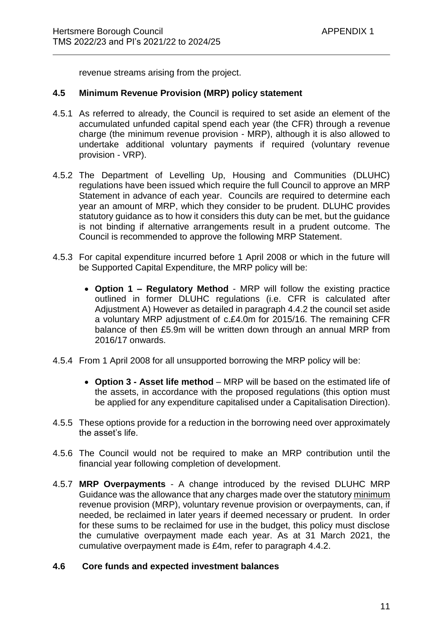revenue streams arising from the project.

#### **4.5 Minimum Revenue Provision (MRP) policy statement**

- 4.5.1 As referred to already, the Council is required to set aside an element of the accumulated unfunded capital spend each year (the CFR) through a revenue charge (the minimum revenue provision - MRP), although it is also allowed to undertake additional voluntary payments if required (voluntary revenue provision - VRP).
- 4.5.2 The Department of Levelling Up, Housing and Communities (DLUHC) regulations have been issued which require the full Council to approve an MRP Statement in advance of each year. Councils are required to determine each year an amount of MRP, which they consider to be prudent. DLUHC provides statutory guidance as to how it considers this duty can be met, but the guidance is not binding if alternative arrangements result in a prudent outcome. The Council is recommended to approve the following MRP Statement.
- 4.5.3 For capital expenditure incurred before 1 April 2008 or which in the future will be Supported Capital Expenditure, the MRP policy will be:
	- **Option 1 – Regulatory Method** MRP will follow the existing practice outlined in former DLUHC regulations (i.e. CFR is calculated after Adjustment A) However as detailed in paragraph 4.4.2 the council set aside a voluntary MRP adjustment of c.£4.0m for 2015/16. The remaining CFR balance of then £5.9m will be written down through an annual MRP from 2016/17 onwards.
- 4.5.4 From 1 April 2008 for all unsupported borrowing the MRP policy will be:
	- **Option 3 - Asset life method** MRP will be based on the estimated life of the assets, in accordance with the proposed regulations (this option must be applied for any expenditure capitalised under a Capitalisation Direction).
- 4.5.5 These options provide for a reduction in the borrowing need over approximately the asset's life.
- 4.5.6 The Council would not be required to make an MRP contribution until the financial year following completion of development.
- 4.5.7 **MRP Overpayments** A change introduced by the revised DLUHC MRP Guidance was the allowance that any charges made over the statutory minimum revenue provision (MRP), voluntary revenue provision or overpayments, can, if needed, be reclaimed in later years if deemed necessary or prudent. In order for these sums to be reclaimed for use in the budget, this policy must disclose the cumulative overpayment made each year. As at 31 March 2021, the cumulative overpayment made is £4m, refer to paragraph 4.4.2.

#### **4.6 Core funds and expected investment balances**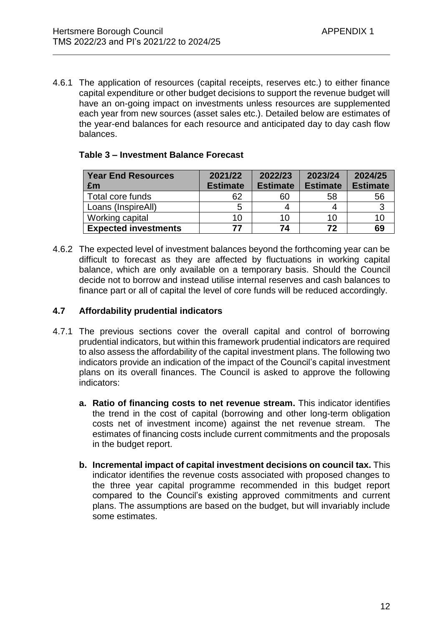4.6.1 The application of resources (capital receipts, reserves etc.) to either finance capital expenditure or other budget decisions to support the revenue budget will have an on-going impact on investments unless resources are supplemented each year from new sources (asset sales etc.). Detailed below are estimates of the year-end balances for each resource and anticipated day to day cash flow balances.

### **Table 3 – Investment Balance Forecast**

| <b>Year End Resources</b><br>£m | 2021/22<br><b>Estimate</b> | 2022/23<br><b>Estimate</b> | 2023/24<br><b>Estimate</b> | 2024/25<br><b>Estimate</b> |
|---------------------------------|----------------------------|----------------------------|----------------------------|----------------------------|
| Total core funds                | 62                         | 60                         | 58                         | 56                         |
| Loans (InspireAll)              | 5                          |                            |                            | ົ                          |
| Working capital                 | 10                         | 10                         | 10                         |                            |
| <b>Expected investments</b>     |                            | 74                         | 72                         | 69                         |

4.6.2 The expected level of investment balances beyond the forthcoming year can be difficult to forecast as they are affected by fluctuations in working capital balance, which are only available on a temporary basis. Should the Council decide not to borrow and instead utilise internal reserves and cash balances to finance part or all of capital the level of core funds will be reduced accordingly.

#### **4.7 Affordability prudential indicators**

- 4.7.1 The previous sections cover the overall capital and control of borrowing prudential indicators, but within this framework prudential indicators are required to also assess the affordability of the capital investment plans. The following two indicators provide an indication of the impact of the Council's capital investment plans on its overall finances. The Council is asked to approve the following indicators:
	- **a. Ratio of financing costs to net revenue stream.** This indicator identifies the trend in the cost of capital (borrowing and other long-term obligation costs net of investment income) against the net revenue stream. The estimates of financing costs include current commitments and the proposals in the budget report.
	- **b. Incremental impact of capital investment decisions on council tax.** This indicator identifies the revenue costs associated with proposed changes to the three year capital programme recommended in this budget report compared to the Council's existing approved commitments and current plans. The assumptions are based on the budget, but will invariably include some estimates.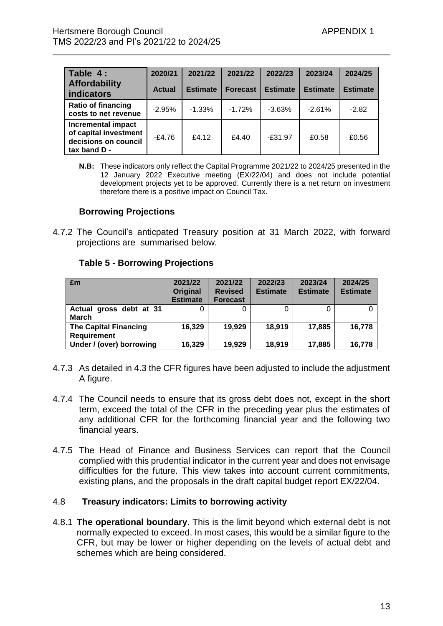| Table 4:<br><b>Affordability</b><br><b>indicators</b>                                      | 2020/21<br><b>Actual</b> | 2021/22<br><b>Estimate</b> | 2021/22<br><b>Forecast</b> | 2022/23<br><b>Estimate</b> | 2023/24<br><b>Estimate</b> | 2024/25<br><b>Estimate</b> |
|--------------------------------------------------------------------------------------------|--------------------------|----------------------------|----------------------------|----------------------------|----------------------------|----------------------------|
| <b>Ratio of financing</b><br>costs to net revenue                                          | $-2.95%$                 | $-1.33%$                   | $-1.72%$                   | $-3.63%$                   | $-2.61%$                   | $-2.82$                    |
| <b>Incremental impact</b><br>of capital investment<br>decisions on council<br>tax band D - | $-£4.76$                 | £4.12                      | £4.40                      | $-£31.97$                  | £0.58                      | £0.56                      |

**N.B:** These indicators only reflect the Capital Programme 2021/22 to 2024/25 presented in the 12 January 2022 Executive meeting (EX/22/04) and does not include potential development projects yet to be approved. Currently there is a net return on investment therefore there is a positive impact on Council Tax.

#### **Borrowing Projections**

4.7.2 The Council's anticpated Treasury position at 31 March 2022, with forward projections are summarised below.

#### **Table 5 - Borrowing Projections**

| £m                                                 | 2021/22<br><b>Original</b><br><b>Estimate</b> | 2021/22<br><b>Revised</b><br><b>Forecast</b> | 2022/23<br><b>Estimate</b> | 2023/24<br><b>Estimate</b> | 2024/25<br><b>Estimate</b> |
|----------------------------------------------------|-----------------------------------------------|----------------------------------------------|----------------------------|----------------------------|----------------------------|
| Actual gross debt at 31<br><b>March</b>            |                                               |                                              |                            |                            |                            |
| <b>The Capital Financing</b><br><b>Requirement</b> | 16,329                                        | 19,929                                       | 18,919                     | 17.885                     | 16,778                     |
| Under / (over) borrowing                           | 16,329                                        | 19,929                                       | 18,919                     | 17,885                     | 16,778                     |

- 4.7.3 As detailed in 4.3 the CFR figures have been adjusted to include the adjustment A figure.
- 4.7.4 The Council needs to ensure that its gross debt does not, except in the short term, exceed the total of the CFR in the preceding year plus the estimates of any additional CFR for the forthcoming financial year and the following two financial years.
- 4.7.5 The Head of Finance and Business Services can report that the Council complied with this prudential indicator in the current year and does not envisage difficulties for the future. This view takes into account current commitments, existing plans, and the proposals in the draft capital budget report EX/22/04.

#### 4.8 **Treasury indicators: Limits to borrowing activity**

4.8.1 **The operational boundary**. This is the limit beyond which external debt is not normally expected to exceed. In most cases, this would be a similar figure to the CFR, but may be lower or higher depending on the levels of actual debt and schemes which are being considered.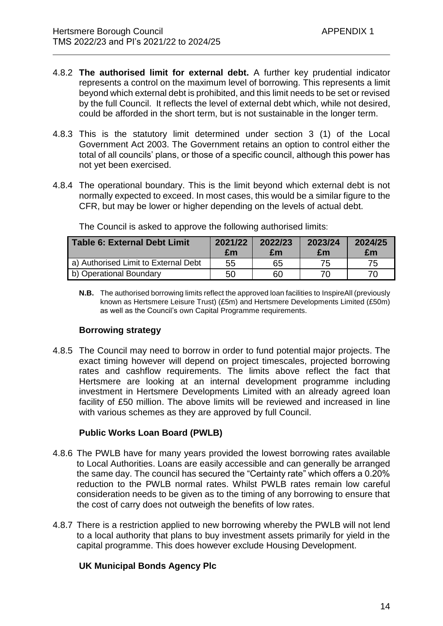- 4.8.2 **The authorised limit for external debt.** A further key prudential indicator represents a control on the maximum level of borrowing. This represents a limit beyond which external debt is prohibited, and this limit needs to be set or revised by the full Council. It reflects the level of external debt which, while not desired, could be afforded in the short term, but is not sustainable in the longer term.
- 4.8.3 This is the statutory limit determined under section 3 (1) of the Local Government Act 2003. The Government retains an option to control either the total of all councils' plans, or those of a specific council, although this power has not yet been exercised.
- 4.8.4 The operational boundary. This is the limit beyond which external debt is not normally expected to exceed. In most cases, this would be a similar figure to the CFR, but may be lower or higher depending on the levels of actual debt.

| Table 6: External Debt Limit         | 2021/22<br>£m | 2022/23<br>£m | 2023/24<br>£m | 2024/25<br>£m |
|--------------------------------------|---------------|---------------|---------------|---------------|
| a) Authorised Limit to External Debt | 55            | 65            | 75.           | 75            |
| b) Operational Boundary              | 50            | 60            |               | $\prime$ ()   |

The Council is asked to approve the following authorised limits:

**N.B.** The authorised borrowing limits reflect the approved loan facilities to InspireAll (previously known as Hertsmere Leisure Trust) (£5m) and Hertsmere Developments Limited (£50m) as well as the Council's own Capital Programme requirements.

#### **Borrowing strategy**

4.8.5 The Council may need to borrow in order to fund potential major projects. The exact timing however will depend on project timescales, projected borrowing rates and cashflow requirements. The limits above reflect the fact that Hertsmere are looking at an internal development programme including investment in Hertsmere Developments Limited with an already agreed loan facility of £50 million. The above limits will be reviewed and increased in line with various schemes as they are approved by full Council.

#### **Public Works Loan Board (PWLB)**

- 4.8.6 The PWLB have for many years provided the lowest borrowing rates available to Local Authorities. Loans are easily accessible and can generally be arranged the same day. The council has secured the "Certainty rate" which offers a 0.20% reduction to the PWLB normal rates. Whilst PWLB rates remain low careful consideration needs to be given as to the timing of any borrowing to ensure that the cost of carry does not outweigh the benefits of low rates.
- 4.8.7 There is a restriction applied to new borrowing whereby the PWLB will not lend to a local authority that plans to buy investment assets primarily for yield in the capital programme. This does however exclude Housing Development.

#### **UK Municipal Bonds Agency Plc**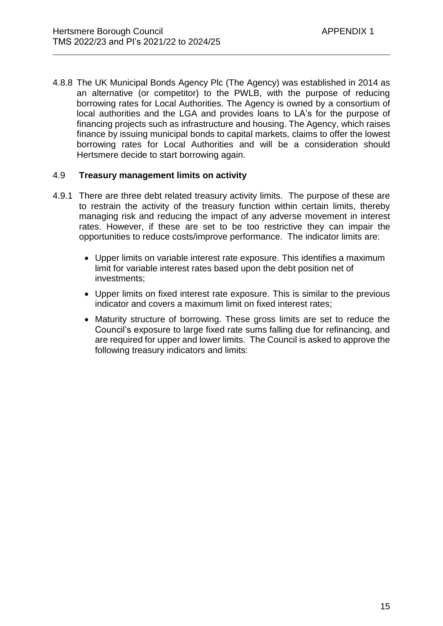4.8.8 The UK Municipal Bonds Agency Plc (The Agency) was established in 2014 as an alternative (or competitor) to the PWLB, with the purpose of reducing borrowing rates for Local Authorities. The Agency is owned by a consortium of local authorities and the LGA and provides loans to LA's for the purpose of financing projects such as infrastructure and housing. The Agency, which raises finance by issuing municipal bonds to capital markets, claims to offer the lowest borrowing rates for Local Authorities and will be a consideration should Hertsmere decide to start borrowing again.

#### 4.9 **Treasury management limits on activity**

- 4.9.1 There are three debt related treasury activity limits. The purpose of these are to restrain the activity of the treasury function within certain limits, thereby managing risk and reducing the impact of any adverse movement in interest rates. However, if these are set to be too restrictive they can impair the opportunities to reduce costs/improve performance. The indicator limits are:
	- Upper limits on variable interest rate exposure. This identifies a maximum limit for variable interest rates based upon the debt position net of investments;
	- Upper limits on fixed interest rate exposure. This is similar to the previous indicator and covers a maximum limit on fixed interest rates;
	- Maturity structure of borrowing. These gross limits are set to reduce the Council's exposure to large fixed rate sums falling due for refinancing, and are required for upper and lower limits. The Council is asked to approve the following treasury indicators and limits: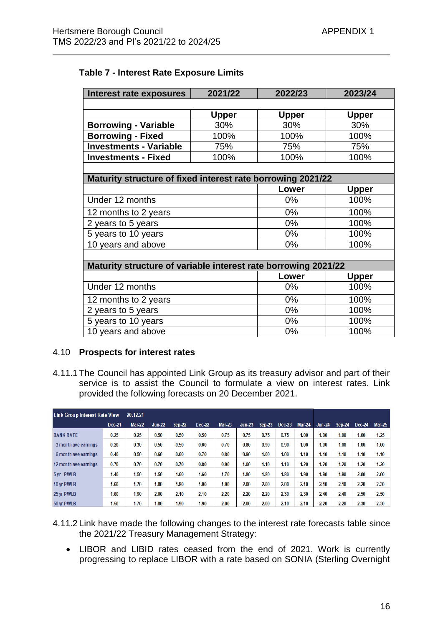| Interest rate exposures                                        | 2021/22      | 2022/23      | 2023/24      |
|----------------------------------------------------------------|--------------|--------------|--------------|
|                                                                |              |              |              |
|                                                                | <b>Upper</b> | <b>Upper</b> | <b>Upper</b> |
| <b>Borrowing - Variable</b>                                    | 30%          | 30%          | 30%          |
| <b>Borrowing - Fixed</b>                                       | 100%         | 100%         | 100%         |
| <b>Investments - Variable</b>                                  | 75%          | 75%          | 75%          |
| <b>Investments - Fixed</b>                                     | 100%         | 100%         | 100%         |
|                                                                |              |              |              |
| Maturity structure of fixed interest rate borrowing 2021/22    |              |              |              |
|                                                                |              | Lower        | <b>Upper</b> |
| Under 12 months                                                |              | $0\%$        | 100%         |
| 12 months to 2 years                                           | 0%           | 100%         |              |
| 2 years to 5 years                                             |              | $0\%$        | 100%         |
| 5 years to 10 years                                            |              | 0%           | 100%         |
| 10 years and above                                             |              | 0%           | 100%         |
|                                                                |              |              |              |
| Maturity structure of variable interest rate borrowing 2021/22 |              |              |              |
|                                                                |              | Lower        | <b>Upper</b> |
| Under 12 months                                                |              | $0\%$        | 100%         |
| 12 months to 2 years                                           |              | 0%           | 100%         |
| 2 years to 5 years                                             |              | $0\%$        | 100%         |
| 5 years to 10 years                                            |              | 0%           | 100%         |
| 10 years and above                                             |              | 0%           | 100%         |

#### 4.10 **Prospects for interest rates**

4.11.1 The Council has appointed Link Group as its treasury advisor and part of their service is to assist the Council to formulate a view on interest rates. Link provided the following forecasts on 20 December 2021.

| <b>Link Group Interest Rate View</b> |        | 20.12.21      |          |               |        |               |          |          |        |               |            |               |        |          |
|--------------------------------------|--------|---------------|----------|---------------|--------|---------------|----------|----------|--------|---------------|------------|---------------|--------|----------|
|                                      | Dec-21 | <b>Mar-22</b> | $Jun-22$ | <b>Sep-22</b> | Dec-22 | <b>Mar-23</b> | $Jun-23$ | $Sep-23$ | Dec-23 | <b>Mar-24</b> | $Jun - 24$ | <b>Sep-24</b> | Dec-24 | $Mar-25$ |
| <b>BANK RATE</b>                     | 0.25   | 0.25          | 0.50     | 0.50          | 0.50   | 0.75          | 0.75     | 0.75     | 0.75   | 1.00          | 1.00       | 1.00          | 1.00   | 1.25     |
| 3 month ave earnings                 | 0.20   | 0.30          | 0.50     | 0.50          | 0.60   | 0.70          | 0.80     | 0.90     | 0.90   | 1.00          | 1.00       | 1.00          | 1.00   | 1.00     |
| 6 month ave earnings                 | 0.40   | 0.50          | 0.60     | 0.60          | 0.70   | 0.80          | 0.90     | 1.00     | 1.00   | 1.10          | 1.10       | 1.10          | 1.10   | 1.10     |
| 12 month ave earnings                | 0.70   | 0.70          | 0.70     | 0.70          | 0.80   | 0.90          | 1.00     | 1.10     | 1.10   | 1.20          | 1.20       | 1.20          | 1.20   | 1.20     |
| 5 yr PWLB                            | 1.40   | 1.50          | 1.50     | 1.60          | 1.60   | 1.70          | 1.80     | 1.80     | 1.80   | 1.90          | 1.90       | 1.90          | 2.00   | 2.00     |
| 10 yr PWLB                           | 1.60   | 1.70          | 1.80     | 1.80          | 1.90   | 1.90          | 2.00     | 2.00     | 2.00   | 2.10          | 2.10       | 2.10          | 2.20   | 2.30     |
| 25 yr PWLB                           | 1.80   | 1.90          | 2.00     | 2.10          | 2.10   | 2.20          | 2.20     | 2.20     | 2.30   | 2.30          | 2.40       | 2.40          | 2.50   | 2.50     |
| 50 yr PWLB                           | 1.50   | 1.70          | 1.80     | 1.90          | 1.90   | 2.00          | 2.00     | 2.00     | 2.10   | 2.10          | 2.20       | 2.20          | 2.30   | 2.30     |

- 4.11.2 Link have made the following changes to the interest rate forecasts table since the 2021/22 Treasury Management Strategy:
	- LIBOR and LIBID rates ceased from the end of 2021. Work is currently progressing to replace LIBOR with a rate based on SONIA (Sterling Overnight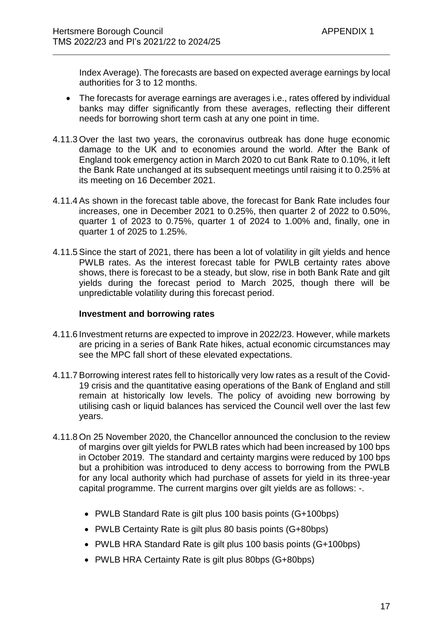Index Average). The forecasts are based on expected average earnings by local authorities for 3 to 12 months.

- The forecasts for average earnings are averages i.e., rates offered by individual banks may differ significantly from these averages, reflecting their different needs for borrowing short term cash at any one point in time.
- 4.11.3 Over the last two years, the coronavirus outbreak has done huge economic damage to the UK and to economies around the world. After the Bank of England took emergency action in March 2020 to cut Bank Rate to 0.10%, it left the Bank Rate unchanged at its subsequent meetings until raising it to 0.25% at its meeting on 16 December 2021.
- 4.11.4 As shown in the forecast table above, the forecast for Bank Rate includes four increases, one in December 2021 to 0.25%, then quarter 2 of 2022 to 0.50%, quarter 1 of 2023 to 0.75%, quarter 1 of 2024 to 1.00% and, finally, one in quarter 1 of 2025 to 1.25%.
- 4.11.5 Since the start of 2021, there has been a lot of volatility in gilt yields and hence PWLB rates. As the interest forecast table for PWLB certainty rates above shows, there is forecast to be a steady, but slow, rise in both Bank Rate and gilt yields during the forecast period to March 2025, though there will be unpredictable volatility during this forecast period.

#### **Investment and borrowing rates**

- 4.11.6 Investment returns are expected to improve in 2022/23. However, while markets are pricing in a series of Bank Rate hikes, actual economic circumstances may see the MPC fall short of these elevated expectations.
- 4.11.7 Borrowing interest rates fell to historically very low rates as a result of the Covid-19 crisis and the quantitative easing operations of the Bank of England and still remain at historically low levels. The policy of avoiding new borrowing by utilising cash or liquid balances has serviced the Council well over the last few years.
- 4.11.8 On 25 November 2020, the Chancellor announced the conclusion to the review of margins over gilt yields for PWLB rates which had been increased by 100 bps in October 2019. The standard and certainty margins were reduced by 100 bps but a prohibition was introduced to deny access to borrowing from the PWLB for any local authority which had purchase of assets for yield in its three-year capital programme. The current margins over gilt yields are as follows: -.
	- PWLB Standard Rate is gilt plus 100 basis points (G+100bps)
	- PWLB Certainty Rate is gilt plus 80 basis points (G+80bps)
	- PWLB HRA Standard Rate is gilt plus 100 basis points (G+100bps)
	- PWLB HRA Certainty Rate is gilt plus 80bps (G+80bps)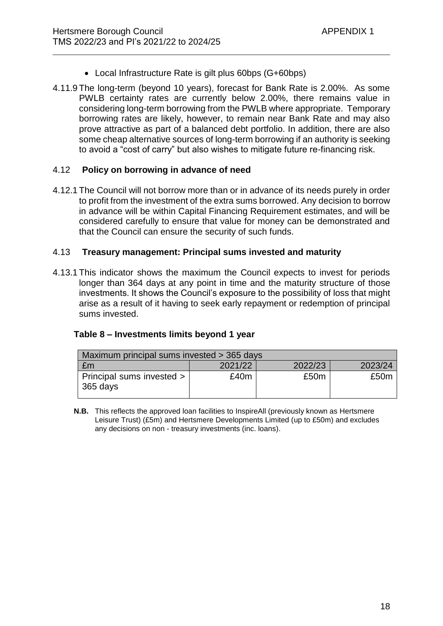- Local Infrastructure Rate is gilt plus 60bps (G+60bps)
- 4.11.9 The long-term (beyond 10 years), forecast for Bank Rate is 2.00%. As some PWLB certainty rates are currently below 2.00%, there remains value in considering long-term borrowing from the PWLB where appropriate. Temporary borrowing rates are likely, however, to remain near Bank Rate and may also prove attractive as part of a balanced debt portfolio. In addition, there are also some cheap alternative sources of long-term borrowing if an authority is seeking to avoid a "cost of carry" but also wishes to mitigate future re-financing risk.

#### 4.12 **Policy on borrowing in advance of need**

4.12.1 The Council will not borrow more than or in advance of its needs purely in order to profit from the investment of the extra sums borrowed. Any decision to borrow in advance will be within Capital Financing Requirement estimates, and will be considered carefully to ensure that value for money can be demonstrated and that the Council can ensure the security of such funds.

#### 4.13 **Treasury management: Principal sums invested and maturity**

4.13.1 This indicator shows the maximum the Council expects to invest for periods longer than 364 days at any point in time and the maturity structure of those investments. It shows the Council's exposure to the possibility of loss that might arise as a result of it having to seek early repayment or redemption of principal sums invested.

#### **Table 8 – Investments limits beyond 1 year**

| Maximum principal sums invested > 365 days |         |         |         |  |  |  |  |
|--------------------------------------------|---------|---------|---------|--|--|--|--|
| £m                                         | 2021/22 | 2022/23 | 2023/24 |  |  |  |  |
| Principal sums invested ><br>365 days      | £40m    | £50m    | £50m    |  |  |  |  |

**N.B.** This reflects the approved loan facilities to InspireAll (previously known as Hertsmere Leisure Trust) (£5m) and Hertsmere Developments Limited (up to £50m) and excludes any decisions on non - treasury investments (inc. loans).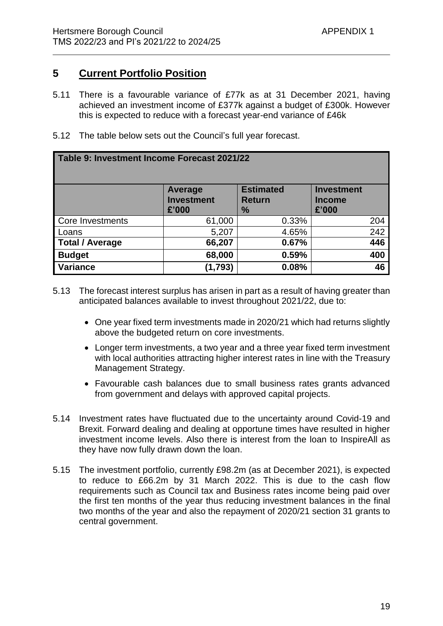# **5 Current Portfolio Position**

- 5.11 There is a favourable variance of £77k as at 31 December 2021, having achieved an investment income of £377k against a budget of £300k. However this is expected to reduce with a forecast year-end variance of £46k
- 5.12 The table below sets out the Council's full year forecast.

| Table 9: Investment Income Forecast 2021/22 |                                              |                                                    |                                             |  |  |  |  |
|---------------------------------------------|----------------------------------------------|----------------------------------------------------|---------------------------------------------|--|--|--|--|
|                                             | <b>Average</b><br><b>Investment</b><br>£'000 | <b>Estimated</b><br><b>Return</b><br>$\frac{0}{0}$ | <b>Investment</b><br><b>Income</b><br>£'000 |  |  |  |  |
| <b>Core Investments</b>                     | 61,000                                       | 0.33%                                              | 204                                         |  |  |  |  |
| Loans                                       | 5,207                                        | 4.65%                                              | 242                                         |  |  |  |  |
| <b>Total / Average</b>                      | 66,207                                       | 0.67%                                              | 446                                         |  |  |  |  |
| <b>Budget</b>                               | 68,000                                       | 0.59%                                              | 400                                         |  |  |  |  |
| <b>Variance</b>                             | (1,793)                                      | 0.08%                                              | 46                                          |  |  |  |  |

- 5.13 The forecast interest surplus has arisen in part as a result of having greater than anticipated balances available to invest throughout 2021/22, due to:
	- One year fixed term investments made in 2020/21 which had returns slightly above the budgeted return on core investments.
	- Longer term investments, a two year and a three year fixed term investment with local authorities attracting higher interest rates in line with the Treasury Management Strategy.
	- Favourable cash balances due to small business rates grants advanced from government and delays with approved capital projects.
- 5.14 Investment rates have fluctuated due to the uncertainty around Covid-19 and Brexit. Forward dealing and dealing at opportune times have resulted in higher investment income levels. Also there is interest from the loan to InspireAll as they have now fully drawn down the loan.
- 5.15 The investment portfolio, currently £98.2m (as at December 2021), is expected to reduce to £66.2m by 31 March 2022. This is due to the cash flow requirements such as Council tax and Business rates income being paid over the first ten months of the year thus reducing investment balances in the final two months of the year and also the repayment of 2020/21 section 31 grants to central government.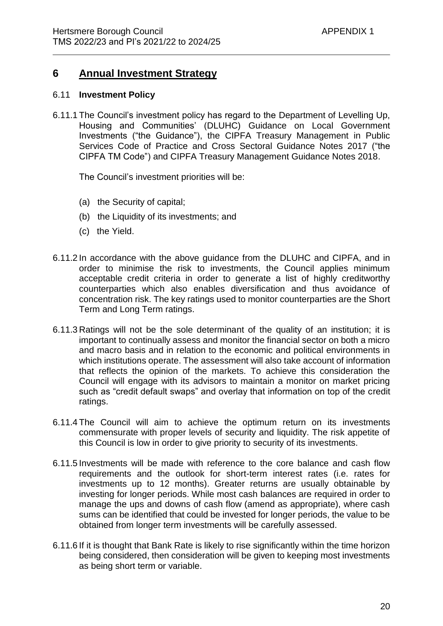# **6 Annual Investment Strategy**

#### 6.11 **Investment Policy**

6.11.1 The Council's investment policy has regard to the Department of Levelling Up, Housing and Communities' (DLUHC) Guidance on Local Government Investments ("the Guidance"), the CIPFA Treasury Management in Public Services Code of Practice and Cross Sectoral Guidance Notes 2017 ("the CIPFA TM Code") and CIPFA Treasury Management Guidance Notes 2018.

The Council's investment priorities will be:

- (a) the Security of capital;
- (b) the Liquidity of its investments; and
- (c) the Yield.
- 6.11.2 In accordance with the above guidance from the DLUHC and CIPFA, and in order to minimise the risk to investments, the Council applies minimum acceptable credit criteria in order to generate a list of highly creditworthy counterparties which also enables diversification and thus avoidance of concentration risk. The key ratings used to monitor counterparties are the Short Term and Long Term ratings.
- 6.11.3 Ratings will not be the sole determinant of the quality of an institution; it is important to continually assess and monitor the financial sector on both a micro and macro basis and in relation to the economic and political environments in which institutions operate. The assessment will also take account of information that reflects the opinion of the markets. To achieve this consideration the Council will engage with its advisors to maintain a monitor on market pricing such as "credit default swaps" and overlay that information on top of the credit ratings.
- 6.11.4 The Council will aim to achieve the optimum return on its investments commensurate with proper levels of security and liquidity. The risk appetite of this Council is low in order to give priority to security of its investments.
- 6.11.5 Investments will be made with reference to the core balance and cash flow requirements and the outlook for short-term interest rates (i.e. rates for investments up to 12 months). Greater returns are usually obtainable by investing for longer periods. While most cash balances are required in order to manage the ups and downs of cash flow (amend as appropriate), where cash sums can be identified that could be invested for longer periods, the value to be obtained from longer term investments will be carefully assessed.
- 6.11.6 If it is thought that Bank Rate is likely to rise significantly within the time horizon being considered, then consideration will be given to keeping most investments as being short term or variable.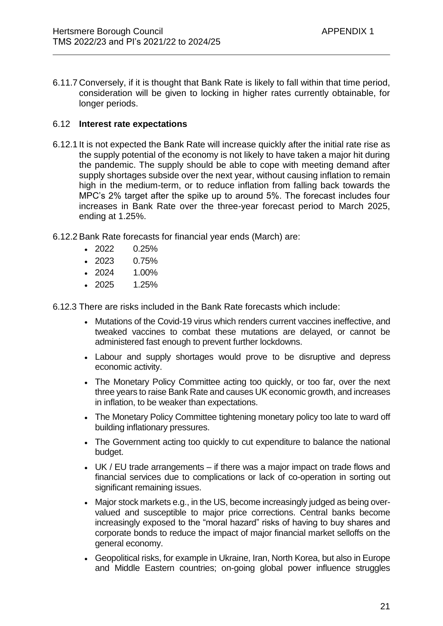6.11.7 Conversely, if it is thought that Bank Rate is likely to fall within that time period, consideration will be given to locking in higher rates currently obtainable, for longer periods.

#### 6.12 **Interest rate expectations**

- 6.12.1 It is not expected the Bank Rate will increase quickly after the initial rate rise as the supply potential of the economy is not likely to have taken a major hit during the pandemic. The supply should be able to cope with meeting demand after supply shortages subside over the next year, without causing inflation to remain high in the medium-term, or to reduce inflation from falling back towards the MPC's 2% target after the spike up to around 5%. The forecast includes four increases in Bank Rate over the three-year forecast period to March 2025, ending at 1.25%.
- 6.12.2 Bank Rate forecasts for financial year ends (March) are:
	- $\cdot$  2022 0.25%
	- 2023 0.75%
	- 2024 1.00%
	- 2025 1.25%

6.12.3 There are risks included in the Bank Rate forecasts which include:

- Mutations of the Covid-19 virus which renders current vaccines ineffective, and tweaked vaccines to combat these mutations are delayed, or cannot be administered fast enough to prevent further lockdowns.
- Labour and supply shortages would prove to be disruptive and depress economic activity.
- The Monetary Policy Committee acting too quickly, or too far, over the next three years to raise Bank Rate and causes UK economic growth, and increases in inflation, to be weaker than expectations.
- The Monetary Policy Committee tightening monetary policy too late to ward off building inflationary pressures.
- The Government acting too quickly to cut expenditure to balance the national budget.
- UK / EU trade arrangements if there was a major impact on trade flows and financial services due to complications or lack of co-operation in sorting out significant remaining issues.
- Major stock markets e.g., in the US, become increasingly judged as being overvalued and susceptible to major price corrections. Central banks become increasingly exposed to the "moral hazard" risks of having to buy shares and corporate bonds to reduce the impact of major financial market selloffs on the general economy.
- Geopolitical risks, for example in Ukraine, Iran, North Korea, but also in Europe and Middle Eastern countries; on-going global power influence struggles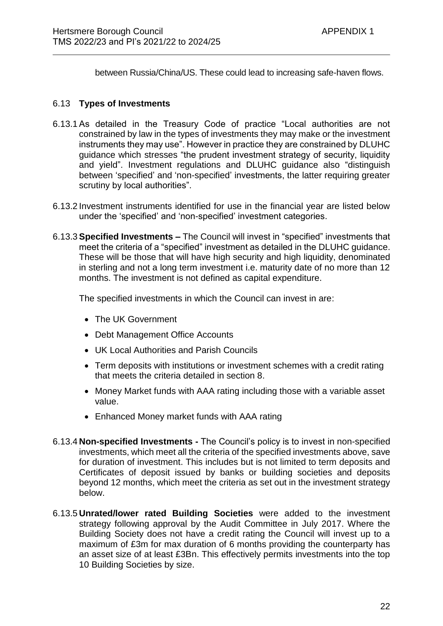between Russia/China/US. These could lead to increasing safe-haven flows.

#### 6.13 **Types of Investments**

- 6.13.1 As detailed in the Treasury Code of practice "Local authorities are not constrained by law in the types of investments they may make or the investment instruments they may use". However in practice they are constrained by DLUHC guidance which stresses "the prudent investment strategy of security, liquidity and yield". Investment regulations and DLUHC guidance also "distinguish between 'specified' and 'non-specified' investments, the latter requiring greater scrutiny by local authorities".
- 6.13.2 Investment instruments identified for use in the financial year are listed below under the 'specified' and 'non-specified' investment categories.
- 6.13.3 **Specified Investments –** The Council will invest in "specified" investments that meet the criteria of a "specified" investment as detailed in the DLUHC guidance. These will be those that will have high security and high liquidity, denominated in sterling and not a long term investment i.e. maturity date of no more than 12 months. The investment is not defined as capital expenditure.

The specified investments in which the Council can invest in are:

- The UK Government
- Debt Management Office Accounts
- UK Local Authorities and Parish Councils
- Term deposits with institutions or investment schemes with a credit rating that meets the criteria detailed in section 8.
- Money Market funds with AAA rating including those with a variable asset value.
- Enhanced Money market funds with AAA rating
- 6.13.4 **Non-specified Investments -** The Council's policy is to invest in non-specified investments, which meet all the criteria of the specified investments above, save for duration of investment. This includes but is not limited to term deposits and Certificates of deposit issued by banks or building societies and deposits beyond 12 months, which meet the criteria as set out in the investment strategy below.
- 6.13.5 **Unrated/lower rated Building Societies** were added to the investment strategy following approval by the Audit Committee in July 2017. Where the Building Society does not have a credit rating the Council will invest up to a maximum of £3m for max duration of 6 months providing the counterparty has an asset size of at least £3Bn. This effectively permits investments into the top 10 Building Societies by size.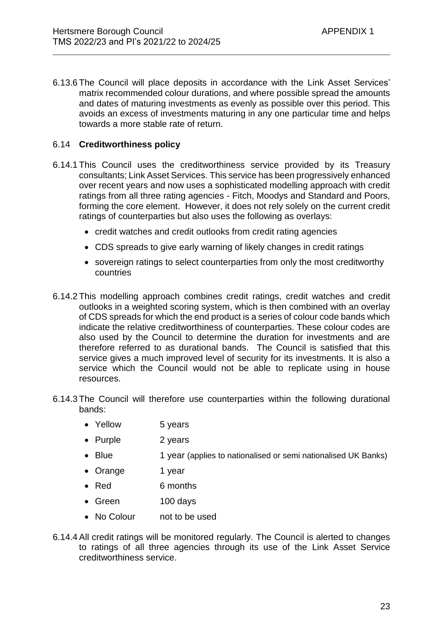6.13.6 The Council will place deposits in accordance with the Link Asset Services' matrix recommended colour durations, and where possible spread the amounts and dates of maturing investments as evenly as possible over this period. This avoids an excess of investments maturing in any one particular time and helps towards a more stable rate of return.

#### 6.14 **Creditworthiness policy**

- 6.14.1 This Council uses the creditworthiness service provided by its Treasury consultants; Link Asset Services. This service has been progressively enhanced over recent years and now uses a sophisticated modelling approach with credit ratings from all three rating agencies - Fitch, Moodys and Standard and Poors, forming the core element. However, it does not rely solely on the current credit ratings of counterparties but also uses the following as overlays:
	- credit watches and credit outlooks from credit rating agencies
	- CDS spreads to give early warning of likely changes in credit ratings
	- sovereign ratings to select counterparties from only the most creditworthy countries
- 6.14.2 This modelling approach combines credit ratings, credit watches and credit outlooks in a weighted scoring system, which is then combined with an overlay of CDS spreads for which the end product is a series of colour code bands which indicate the relative creditworthiness of counterparties. These colour codes are also used by the Council to determine the duration for investments and are therefore referred to as durational bands. The Council is satisfied that this service gives a much improved level of security for its investments. It is also a service which the Council would not be able to replicate using in house resources.
- 6.14.3 The Council will therefore use counterparties within the following durational bands:
	- Yellow 5 years
	- Purple 2 years
	- Blue 1 year (applies to nationalised or semi nationalised UK Banks)
	- Orange 1 year
	- Red 6 months
	- Green 100 days
	- No Colour not to be used
- 6.14.4 All credit ratings will be monitored regularly. The Council is alerted to changes to ratings of all three agencies through its use of the Link Asset Service creditworthiness service.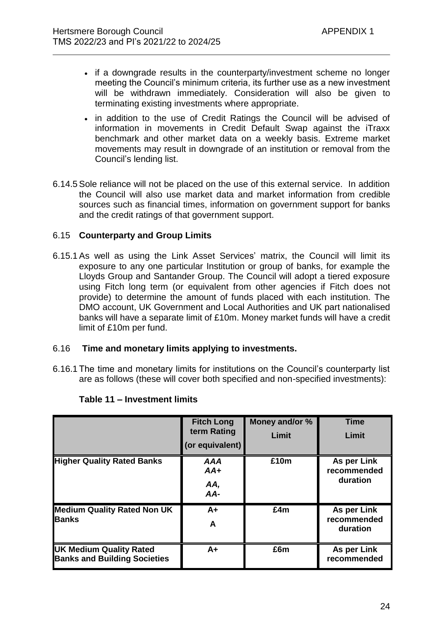- if a downgrade results in the counterparty/investment scheme no longer meeting the Council's minimum criteria, its further use as a new investment will be withdrawn immediately. Consideration will also be given to terminating existing investments where appropriate.
- in addition to the use of Credit Ratings the Council will be advised of information in movements in Credit Default Swap against the iTraxx benchmark and other market data on a weekly basis. Extreme market movements may result in downgrade of an institution or removal from the Council's lending list.
- 6.14.5 Sole reliance will not be placed on the use of this external service. In addition the Council will also use market data and market information from credible sources such as financial times, information on government support for banks and the credit ratings of that government support.

#### 6.15 **Counterparty and Group Limits**

6.15.1 As well as using the Link Asset Services' matrix, the Council will limit its exposure to any one particular Institution or group of banks, for example the Lloyds Group and Santander Group. The Council will adopt a tiered exposure using Fitch long term (or equivalent from other agencies if Fitch does not provide) to determine the amount of funds placed with each institution. The DMO account, UK Government and Local Authorities and UK part nationalised banks will have a separate limit of £10m. Money market funds will have a credit limit of £10m per fund.

#### 6.16 **Time and monetary limits applying to investments.**

6.16.1 The time and monetary limits for institutions on the Council's counterparty list are as follows (these will cover both specified and non-specified investments):

|                                                                       | <b>Fitch Long</b><br>term Rating<br>(or equivalent) | Money and/or %<br>Limit | <b>Time</b><br>Limit                   |
|-----------------------------------------------------------------------|-----------------------------------------------------|-------------------------|----------------------------------------|
| <b>Higher Quality Rated Banks</b>                                     | <b>AAA</b><br>$AA+$<br>AA,<br>$AA-$                 | £10m                    | As per Link<br>recommended<br>duration |
| <b>Medium Quality Rated Non UK</b><br><b>I</b> Banks                  | $A+$<br>A                                           | £4m                     | As per Link<br>recommended<br>duration |
| <b>UK Medium Quality Rated</b><br><b>Banks and Building Societies</b> | $A+$                                                | £6m                     | As per Link<br>recommended             |

#### **Table 11 – Investment limits**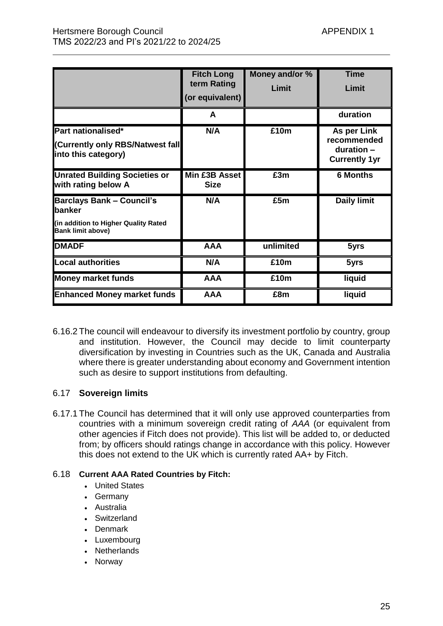|                                                                                                                | <b>Fitch Long</b><br>term Rating<br>(or equivalent) | Money and/or %<br>Limit | <b>Time</b><br>Limit                                             |
|----------------------------------------------------------------------------------------------------------------|-----------------------------------------------------|-------------------------|------------------------------------------------------------------|
|                                                                                                                | A                                                   |                         | duration                                                         |
| Part nationalised*<br>(Currently only RBS/Natwest fall<br>into this category)                                  | N/A                                                 | £10m                    | As per Link<br>recommended<br>duration -<br><b>Currently 1yr</b> |
| <b>Unrated Building Societies or</b><br>with rating below A                                                    | Min £3B Asset<br><b>Size</b>                        | £3m                     | <b>6 Months</b>                                                  |
| <b>Barclays Bank - Council's</b><br>banker<br>(in addition to Higher Quality Rated<br><b>Bank limit above)</b> | N/A                                                 | £5m                     | <b>Daily limit</b>                                               |
| <b>DMADF</b>                                                                                                   | <b>AAA</b>                                          | unlimited               | 5yrs                                                             |
| <b>Local authorities</b>                                                                                       | N/A                                                 | £10m                    | 5yrs                                                             |
| <b>Money market funds</b>                                                                                      | <b>AAA</b>                                          | £10m                    | liquid                                                           |
| <b>Enhanced Money market funds</b>                                                                             | <b>AAA</b>                                          | £8m                     | liquid                                                           |

6.16.2 The council will endeavour to diversify its investment portfolio by country, group and institution. However, the Council may decide to limit counterparty diversification by investing in Countries such as the UK, Canada and Australia where there is greater understanding about economy and Government intention such as desire to support institutions from defaulting.

### 6.17 **Sovereign limits**

6.17.1 The Council has determined that it will only use approved counterparties from countries with a minimum sovereign credit rating of *AAA* (or equivalent from other agencies if Fitch does not provide). This list will be added to, or deducted from; by officers should ratings change in accordance with this policy. However this does not extend to the UK which is currently rated AA+ by Fitch.

#### 6.18 **Current AAA Rated Countries by Fitch:**

- United States
- Germany
- Australia
- Switzerland
- Denmark
- Luxembourg
- Netherlands
- Norway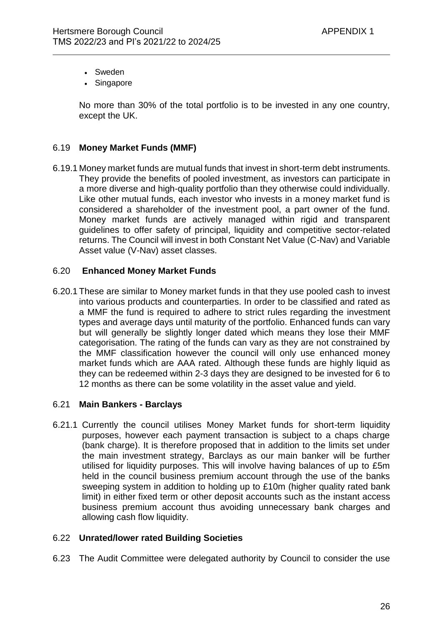- Sweden
- Singapore

No more than 30% of the total portfolio is to be invested in any one country, except the UK.

### 6.19 **Money Market Funds (MMF)**

6.19.1 Money market funds are mutual funds that invest in short-term debt instruments. They provide the benefits of pooled investment, as investors can participate in a more diverse and high-quality portfolio than they otherwise could individually. Like other mutual funds, each investor who invests in a money market fund is considered a shareholder of the investment pool, a part owner of the fund. Money market funds are actively managed within rigid and transparent guidelines to offer safety of principal, liquidity and competitive sector-related returns. The Council will invest in both Constant Net Value (C-Nav) and Variable Asset value (V-Nav) asset classes.

#### 6.20 **Enhanced Money Market Funds**

6.20.1 These are similar to Money market funds in that they use pooled cash to invest into various products and counterparties. In order to be classified and rated as a MMF the fund is required to adhere to strict rules regarding the investment types and average days until maturity of the portfolio. Enhanced funds can vary but will generally be slightly longer dated which means they lose their MMF categorisation. The rating of the funds can vary as they are not constrained by the MMF classification however the council will only use enhanced money market funds which are AAA rated. Although these funds are highly liquid as they can be redeemed within 2-3 days they are designed to be invested for 6 to 12 months as there can be some volatility in the asset value and yield.

#### 6.21 **Main Bankers - Barclays**

6.21.1 Currently the council utilises Money Market funds for short-term liquidity purposes, however each payment transaction is subject to a chaps charge (bank charge). It is therefore proposed that in addition to the limits set under the main investment strategy, Barclays as our main banker will be further utilised for liquidity purposes. This will involve having balances of up to £5m held in the council business premium account through the use of the banks sweeping system in addition to holding up to £10m (higher quality rated bank limit) in either fixed term or other deposit accounts such as the instant access business premium account thus avoiding unnecessary bank charges and allowing cash flow liquidity.

### 6.22 **Unrated/lower rated Building Societies**

6.23 The Audit Committee were delegated authority by Council to consider the use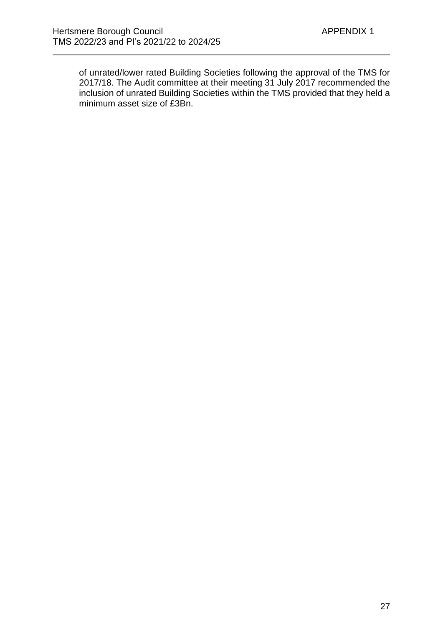of unrated/lower rated Building Societies following the approval of the TMS for 2017/18. The Audit committee at their meeting 31 July 2017 recommended the inclusion of unrated Building Societies within the TMS provided that they held a minimum asset size of £3Bn.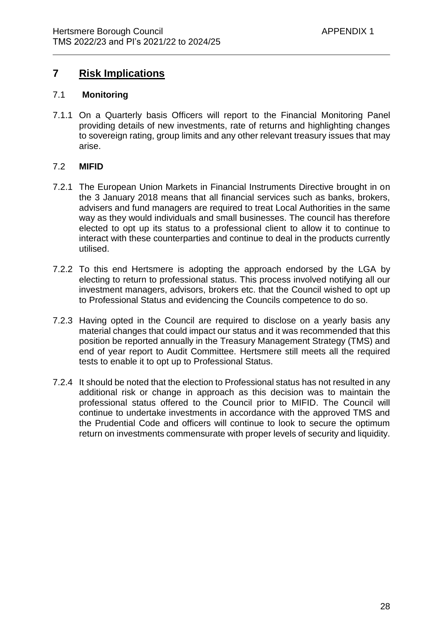# **7 Risk Implications**

#### 7.1 **Monitoring**

7.1.1 On a Quarterly basis Officers will report to the Financial Monitoring Panel providing details of new investments, rate of returns and highlighting changes to sovereign rating, group limits and any other relevant treasury issues that may arise.

#### 7.2 **MIFID**

- 7.2.1 The European Union Markets in Financial Instruments Directive brought in on the 3 January 2018 means that all financial services such as banks, brokers, advisers and fund managers are required to treat Local Authorities in the same way as they would individuals and small businesses. The council has therefore elected to opt up its status to a professional client to allow it to continue to interact with these counterparties and continue to deal in the products currently utilised.
- 7.2.2 To this end Hertsmere is adopting the approach endorsed by the LGA by electing to return to professional status. This process involved notifying all our investment managers, advisors, brokers etc. that the Council wished to opt up to Professional Status and evidencing the Councils competence to do so.
- 7.2.3 Having opted in the Council are required to disclose on a yearly basis any material changes that could impact our status and it was recommended that this position be reported annually in the Treasury Management Strategy (TMS) and end of year report to Audit Committee. Hertsmere still meets all the required tests to enable it to opt up to Professional Status.
- 7.2.4 It should be noted that the election to Professional status has not resulted in any additional risk or change in approach as this decision was to maintain the professional status offered to the Council prior to MIFID. The Council will continue to undertake investments in accordance with the approved TMS and the Prudential Code and officers will continue to look to secure the optimum return on investments commensurate with proper levels of security and liquidity.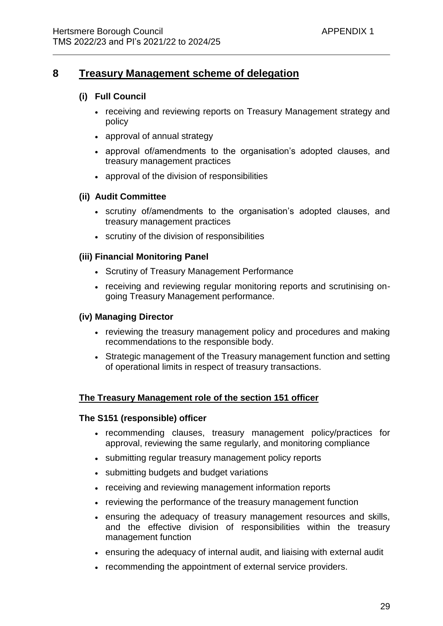# **8 Treasury Management scheme of delegation**

#### **(i) Full Council**

- receiving and reviewing reports on Treasury Management strategy and policy
- approval of annual strategy
- approval of/amendments to the organisation's adopted clauses, and treasury management practices
- approval of the division of responsibilities

#### **(ii) Audit Committee**

- scrutiny of/amendments to the organisation's adopted clauses, and treasury management practices
- scrutiny of the division of responsibilities

#### **(iii) Financial Monitoring Panel**

- Scrutiny of Treasury Management Performance
- receiving and reviewing regular monitoring reports and scrutinising ongoing Treasury Management performance.

#### **(iv) Managing Director**

- reviewing the treasury management policy and procedures and making recommendations to the responsible body.
- Strategic management of the Treasury management function and setting of operational limits in respect of treasury transactions.

### **The Treasury Management role of the section 151 officer**

#### **The S151 (responsible) officer**

- recommending clauses, treasury management policy/practices for approval, reviewing the same regularly, and monitoring compliance
- submitting regular treasury management policy reports
- submitting budgets and budget variations
- receiving and reviewing management information reports
- reviewing the performance of the treasury management function
- ensuring the adequacy of treasury management resources and skills, and the effective division of responsibilities within the treasury management function
- ensuring the adequacy of internal audit, and liaising with external audit
- recommending the appointment of external service providers.